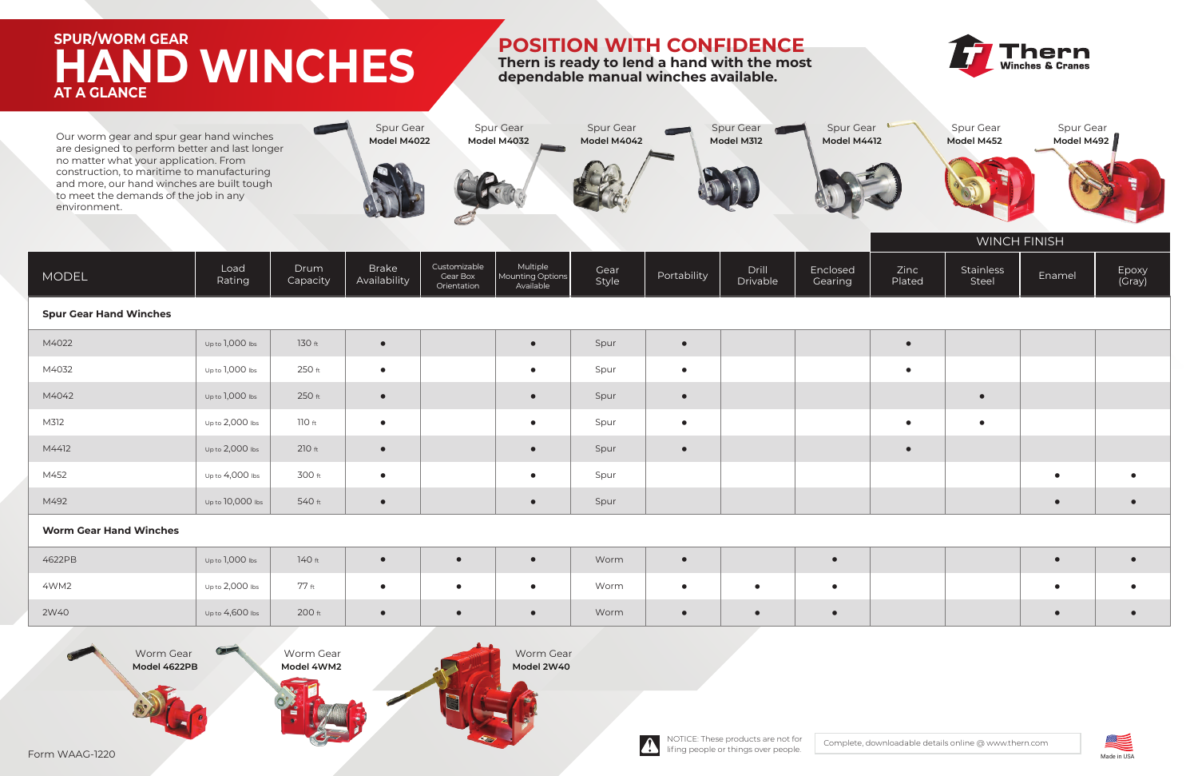# **SPUR/WORM GEAR HAND WINCHES AT A GLANCE**

### **POSITION WITH CONFIDENCE**

**Thern is ready to lend a hand with the most dependable manual winches available.**

Our worm gear and spur gear hand winches are designed to perform better and last longer no matter what your application. From construction, to maritime to manufacturing and more, our hand winches are built tough to meet the demands of the job in any environment.

|                               |                   |                  |                              |                                         |                                           |               |             |                   |                     |                | <b>WINCH FINISH</b> |           |                 |  |
|-------------------------------|-------------------|------------------|------------------------------|-----------------------------------------|-------------------------------------------|---------------|-------------|-------------------|---------------------|----------------|---------------------|-----------|-----------------|--|
| <b>MODEL</b>                  | Load<br>Rating    | Drum<br>Capacity | <b>Brake</b><br>Availability | Customizable<br>Cear Box<br>Orientation | Multiple<br>Mounting Options<br>Available | Gear<br>Style | Portability | Drill<br>Drivable | Enclosed<br>Gearing | Zinc<br>Plated | Stainless<br>Steel  | Enamel    | Epoxy<br>(Gray) |  |
| <b>Spur Gear Hand Winches</b> |                   |                  |                              |                                         |                                           |               |             |                   |                     |                |                     |           |                 |  |
| M4022                         | Up to $1,000$ lbs | 130 ft           | $\bullet$                    |                                         | $\bullet$                                 | Spur          | $\bullet$   |                   |                     | $\bullet$      |                     |           |                 |  |
| M4032                         | Up to $1,000$ lbs | 250 ft           | $\bullet$                    |                                         | $\bullet$                                 | Spur          | $\bullet$   |                   |                     | $\bullet$      |                     |           |                 |  |
| M4042                         | Up to $1,000$ lbs | 250 ft           | $\bullet$                    |                                         | $\bullet$                                 | Spur          | $\bullet$   |                   |                     |                | $\bullet$           |           |                 |  |
| M312                          | Up to 2,000 lbs   | $110$ ft         | $\bullet$                    |                                         | $\bullet$                                 | Spur          | $\bullet$   |                   |                     | $\bullet$      | $\bullet$           |           |                 |  |
| M4412                         | Up to 2,000 lbs   | $210$ ft         | $\bullet$                    |                                         | $\bullet$                                 | Spur          | $\bullet$   |                   |                     | $\bullet$      |                     |           |                 |  |
| M452                          | Up to $4,000$ Ibs | 300 ft           | $\bullet$                    |                                         | $\bullet$                                 | Spur          |             |                   |                     |                |                     | $\bullet$ | $\bullet$       |  |
| M492                          | Up to 10,000 lbs  | 540 ft           | $\bullet$                    |                                         | $\bullet$                                 | Spur          |             |                   |                     |                |                     | $\bullet$ | $\bullet$       |  |
| <b>Worm Gear Hand Winches</b> |                   |                  |                              |                                         |                                           |               |             |                   |                     |                |                     |           |                 |  |
| 4622PB                        | Up to $1,000$ lbs | 140 ft           | $\bullet$                    | $\bullet$                               | $\bullet$                                 | Worm          | $\bullet$   |                   | $\bullet$           |                |                     | $\bullet$ | $\bullet$       |  |
| 4WM2                          | Up to 2,000 lbs   | 77 ft            | $\bullet$                    | $\bullet$                               | $\bullet$                                 | Worm          | $\bullet$   | $\bullet$         | $\bullet$           |                |                     | $\bullet$ | $\bullet$       |  |
| 2W40                          | Up to 4,600 lbs   | 200 ft           | $\bullet$                    | $\bullet$                               | $\bullet$                                 | Worm          | $\bullet$   | $\bullet$         | $\bullet$           |                |                     | $\bullet$ | $\bullet$       |  |

| 4622PB | Up to $1,000$ lbs | 140 ft |  | Worm |  |  |
|--------|-------------------|--------|--|------|--|--|
| 4WM2   | Up to 2,000 lbs   | 77 ft  |  | Worm |  |  |
| 2W40   | Up to $4,600$ Ibs | 200 ft |  | Worm |  |  |







Spur Gear

**Model M4032** Spur Gear





**Model M4412** Spur Gear







Complete, downloadable details online @ www.thern.com

**Model 2W40** Worm Gear



NOTICE: These products are not for<br>lifing people or things over people.